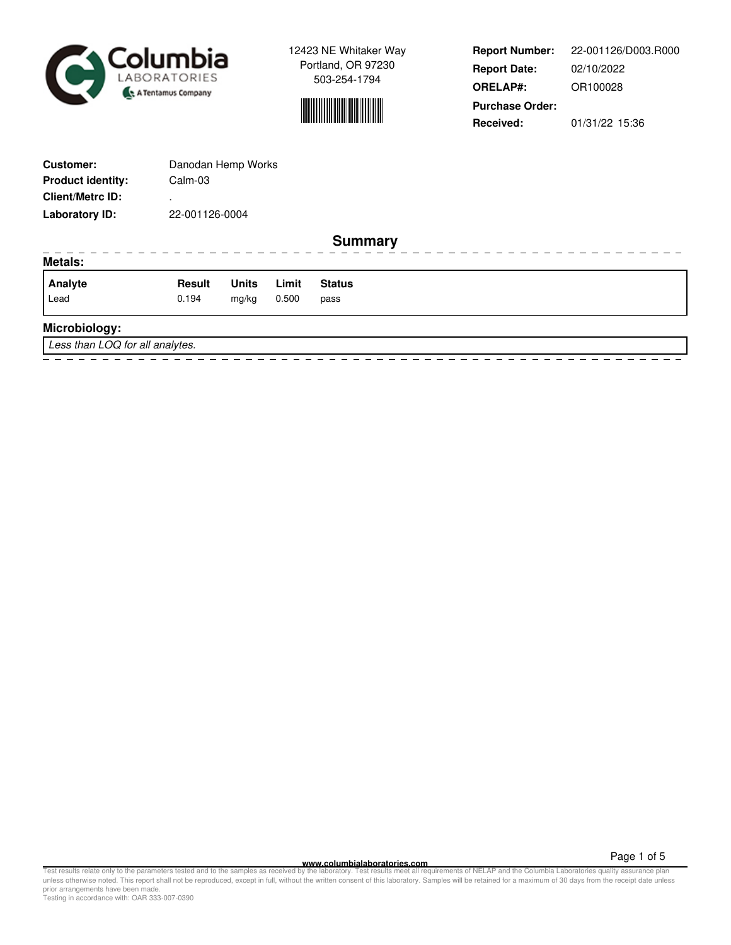



**Report Number: Report Date: ORELAP#:** 02/10/2022 OR100028 **Received:** 01/31/22 15:36 **Purchase Order:** 22-001126/D003.R000

| <b>Customer:</b>                | Danodan Hemp Works |              |       |                |  |  |  |  |  |  |  |  |
|---------------------------------|--------------------|--------------|-------|----------------|--|--|--|--|--|--|--|--|
| <b>Product identity:</b>        | Calm-03            |              |       |                |  |  |  |  |  |  |  |  |
| <b>Client/Metrc ID:</b>         |                    |              |       |                |  |  |  |  |  |  |  |  |
| <b>Laboratory ID:</b>           | 22-001126-0004     |              |       |                |  |  |  |  |  |  |  |  |
|                                 |                    |              |       | <b>Summary</b> |  |  |  |  |  |  |  |  |
| <b>Metals:</b>                  |                    |              |       |                |  |  |  |  |  |  |  |  |
| Analyte                         | <b>Result</b>      | <b>Units</b> | Limit | <b>Status</b>  |  |  |  |  |  |  |  |  |
| Lead                            | 0.194              | mg/kg        | 0.500 | pass           |  |  |  |  |  |  |  |  |
| Microbiology:                   |                    |              |       |                |  |  |  |  |  |  |  |  |
| Less than LOQ for all analytes. |                    |              |       |                |  |  |  |  |  |  |  |  |
|                                 |                    |              |       |                |  |  |  |  |  |  |  |  |

**WWW.columbialaboratories.com**<br>unless otherwise noted. This report shall not be reproduced, except in full, without the varitten consent of this laboratory. Test results meet all requirements of NELAP and the Columbia Labo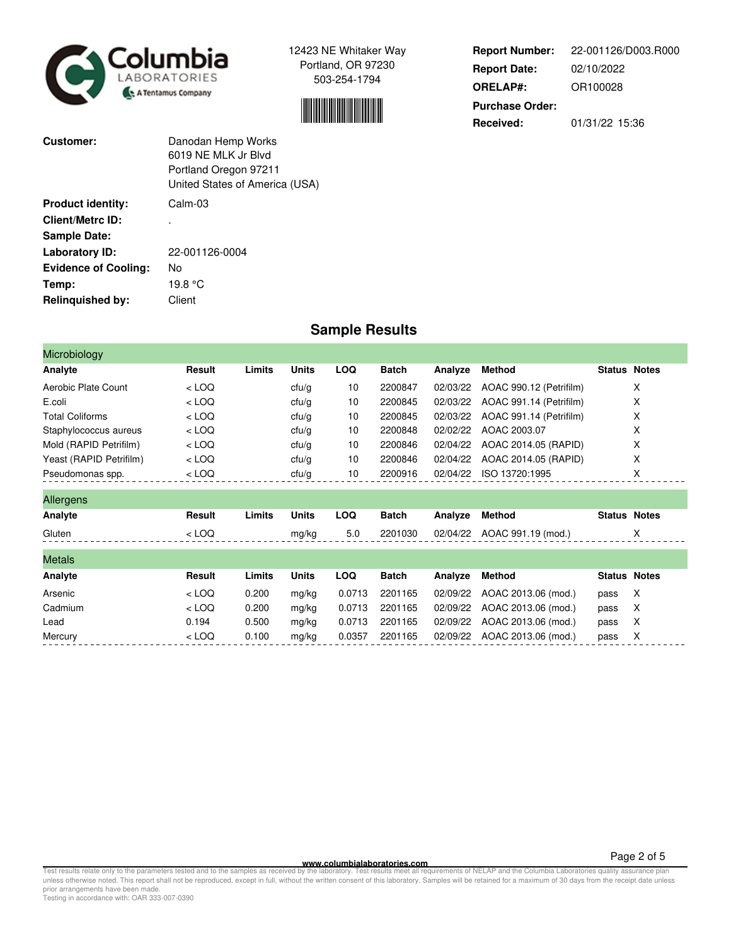



**Report Number: Report Date: ORELAP#:** 02/10/2022 OR100028 **Received:** 01/31/22 15:36 **Purchase Order:** 22-001126/D003.R000

| Customer:                   | Danodan Hemp Works<br>6019 NF MLK Jr Blvd<br>Portland Oregon 97211<br>United States of America (USA) |
|-----------------------------|------------------------------------------------------------------------------------------------------|
| <b>Product identity:</b>    | $Calm-0.3$                                                                                           |
| Client/Metrc ID:            |                                                                                                      |
| <b>Sample Date:</b>         |                                                                                                      |
| Laboratory ID:              | 22-001126-0004                                                                                       |
| <b>Evidence of Cooling:</b> | No                                                                                                   |
| Temp:                       | 19.8 °C                                                                                              |
| <b>Relinquished by:</b>     | Client                                                                                               |

## **Sample Results**

| Microbiology            |         |        |              |            |              |          |                         |                     |   |
|-------------------------|---------|--------|--------------|------------|--------------|----------|-------------------------|---------------------|---|
| Analyte                 | Result  | Limits | <b>Units</b> | <b>LOQ</b> | <b>Batch</b> | Analyze  | <b>Method</b>           | <b>Status Notes</b> |   |
| Aerobic Plate Count     | $<$ LOQ |        | ctu/g        | 10         | 2200847      | 02/03/22 | AOAC 990.12 (Petrifilm) |                     | X |
| E.coli                  | $<$ LOQ |        | ctu/g        | 10         | 2200845      | 02/03/22 | AOAC 991.14 (Petrifilm) |                     | х |
| <b>Total Coliforms</b>  | $<$ LOQ |        | ctu/g        | 10         | 2200845      | 02/03/22 | AOAC 991.14 (Petrifilm) |                     | X |
| Staphylococcus aureus   | $<$ LOQ |        | ctu/g        | 10         | 2200848      | 02/02/22 | AOAC 2003.07            |                     | X |
| Mold (RAPID Petrifilm)  | $<$ LOQ |        | ctu/g        | 10         | 2200846      | 02/04/22 | AOAC 2014.05 (RAPID)    |                     | X |
| Yeast (RAPID Petrifilm) | $<$ LOQ |        | ctu/g        | 10         | 2200846      | 02/04/22 | AOAC 2014.05 (RAPID)    |                     | X |
| Pseudomonas spp.        | $<$ LOQ |        | ctu/g        | 10         | 2200916      | 02/04/22 | ISO 13720:1995          |                     | X |
| <b>Allergens</b>        |         |        |              |            |              |          |                         |                     |   |
| Analyte                 | Result  | Limits | <b>Units</b> | <b>LOQ</b> | <b>Batch</b> | Analyze  | <b>Method</b>           | <b>Status Notes</b> |   |
| Gluten                  | $<$ LOQ |        | mg/kg        | 5.0        | 2201030      | 02/04/22 | AOAC 991.19 (mod.)      |                     | X |
| <b>Metals</b>           |         |        |              |            |              |          |                         |                     |   |
| Analyte                 | Result  | Limits | <b>Units</b> | <b>LOQ</b> | <b>Batch</b> | Analyze  | <b>Method</b>           | <b>Status Notes</b> |   |
| Arsenic                 | $<$ LOQ | 0.200  | mg/kg        | 0.0713     | 2201165      | 02/09/22 | AOAC 2013.06 (mod.)     | pass                | X |
| Cadmium                 | $<$ LOQ | 0.200  | mg/kg        | 0.0713     | 2201165      | 02/09/22 | AOAC 2013.06 (mod.)     | pass                | X |
| Lead                    | 0.194   | 0.500  | mg/kg        | 0.0713     | 2201165      | 02/09/22 | AOAC 2013.06 (mod.)     | pass                | X |
| Mercury                 | $<$ LOQ | 0.100  | mg/kg        | 0.0357     | 2201165      | 02/09/22 | AOAC 2013.06 (mod.)     | pass                | Х |

**WWW.columbialaboratories.com**<br>unless otherwise noted. This report shall not be reproduced, except in full, without the varitten consent of this laboratory. Test results meet all requirements of NELAP and the Columbia Labo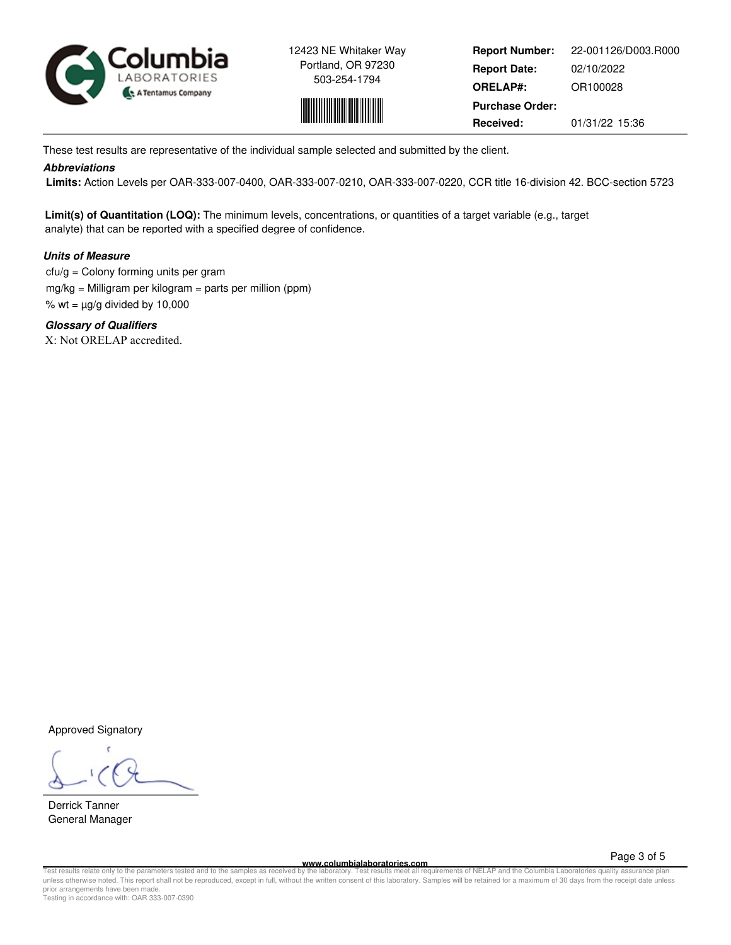



**Report Number: Report Date: ORELAP#:** 02/10/2022 OR100028 **Received:** 01/31/22 15:36 **Purchase Order:** 22-001126/D003.R000

These test results are representative of the individual sample selected and submitted by the client.

## **Abbreviations**

 **Limits:** Action Levels per OAR-333-007-0400, OAR-333-007-0210, OAR-333-007-0220, CCR title 16-division 42. BCC-section 5723

**Limit(s) of Quantitation (LOQ):** The minimum levels, concentrations, or quantities of a target variable (e.g., target analyte) that can be reported with a specified degree of confidence.

## **Units of Measure**

 $ctu/g =$  Colony forming units per gram mg/kg = Milligram per kilogram = parts per million (ppm) % wt =  $\mu$ g/g divided by 10,000

**Glossary of Qualifiers** X: Not ORELAP accredited.

Approved Signatory

Derrick Tanner General Manager

**www.columbialaboratories.com**

Page 3 of 5

Test results relate only to the parameters tested and to the samples as received by the laboratory. Test results meet all requirements of NELAP and the Columbia Laboratories quality assurance plan<br>unless otherwise noted. T prior arrangements have been made. Testing in accordance with: OAR 333-007-0390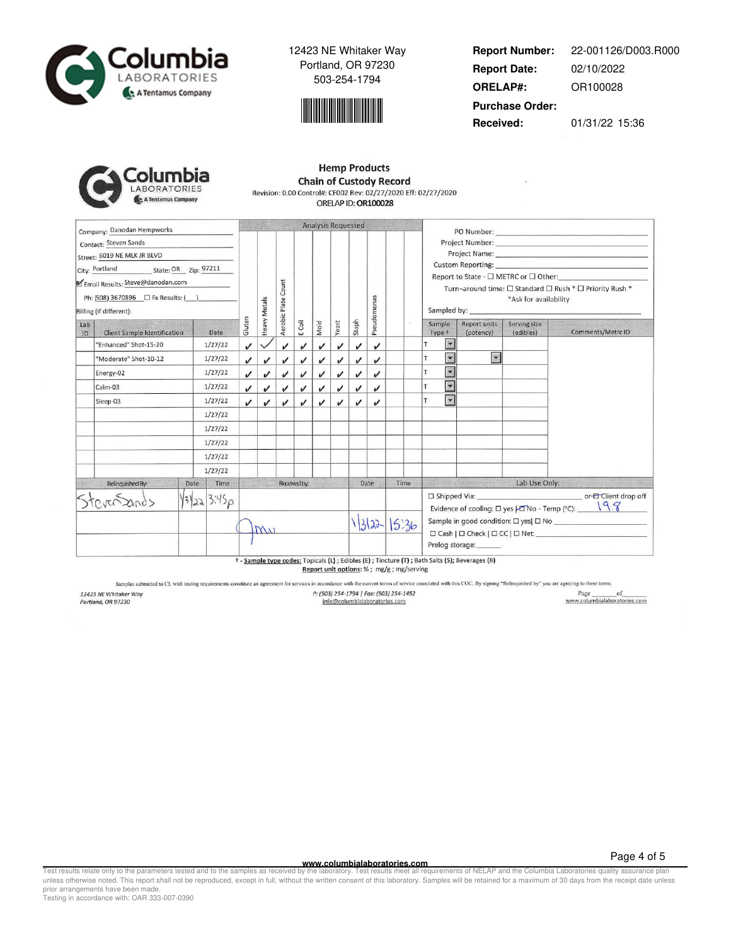



**Report Number: Report Date: ORELAP#:** 02/10/2022 OR100028 **Received:** 01/31/22 15:36 **Purchase Order:** 22-001126/D003.R000

| plumbia            |
|--------------------|
| LABORATORIES       |
| A Tentamus Company |

## **Hemp Products Chain of Custody Record** Revision: 0.00 Control#: CF002 Rev: 02/27/2020 Eff: 02/27/2020 ORELAP ID: OR100028

| Company: Danodan Hempworks                                                                                                                                 |                              |              | <b>Analysis Requested</b>  |              |                            |                    |      |                            |       |                            |       |                                                                                                                                                                                                                                                                                                                                          |                                              |                           |                   |
|------------------------------------------------------------------------------------------------------------------------------------------------------------|------------------------------|--------------|----------------------------|--------------|----------------------------|--------------------|------|----------------------------|-------|----------------------------|-------|------------------------------------------------------------------------------------------------------------------------------------------------------------------------------------------------------------------------------------------------------------------------------------------------------------------------------------------|----------------------------------------------|---------------------------|-------------------|
| Contact: Steven Sands<br>Street: 6019 NE MLK JR BLVD<br>City: Portland State: OR Zip: 97211<br>Email Results: Steve@danodan.com<br>Billing (if different): |                              |              |                            | Heavy Metals | Count                      |                    |      |                            |       | Pseudomonas                |       | Report to State - □ METRC or □ Other:<br>Turn-around time: □ Standard □ Rush * □ Priority Rush *<br>*Ask for availability                                                                                                                                                                                                                |                                              |                           |                   |
| Lab<br>ID                                                                                                                                                  | Client Sample Identification | Date         | Gluten                     |              | Aerobic Plate              | E Coli             | Mold | Yeast                      | Staph |                            |       | Sample<br>Type +                                                                                                                                                                                                                                                                                                                         | Report units<br>(potency)                    | Serving size<br>(edibles) | Comments/Metrc ID |
|                                                                                                                                                            | "Enhanced" Shot-15-20        | 1/27/22      | $\boldsymbol{\mathcal{U}}$ |              | v                          | $\boldsymbol{\nu}$ | v    | ✓                          | v     | $\boldsymbol{\mathcal{U}}$ |       | $\overline{\phantom{0}}$<br>т                                                                                                                                                                                                                                                                                                            |                                              |                           |                   |
|                                                                                                                                                            | "Moderate" Shot-10-12        | 1/27/22      | J                          | $\checkmark$ | J                          | J                  | v    | J                          | ✓     | J                          |       | T                                                                                                                                                                                                                                                                                                                                        | $\blacktriangledown$<br>$\blacktriangledown$ |                           |                   |
|                                                                                                                                                            | Energy-02                    | 1/27/22      | J                          | v            | v                          | v                  | J    | J                          | J     | J                          |       | $\blacktriangledown$<br>T                                                                                                                                                                                                                                                                                                                |                                              |                           |                   |
|                                                                                                                                                            | Calm-03                      | 1/27/22      | $\checkmark$               | $\checkmark$ | v                          | v                  | ✓    | ✓                          | J     | v                          |       | $\blacktriangleright$                                                                                                                                                                                                                                                                                                                    |                                              |                           |                   |
|                                                                                                                                                            | Sleep-03                     | 1/27/22      | $\boldsymbol{\nu}$         | $\checkmark$ | $\boldsymbol{\mathcal{U}}$ | J                  | J    | $\boldsymbol{\mathcal{U}}$ | J     | J                          |       | $\mathbf{v}$<br>T                                                                                                                                                                                                                                                                                                                        |                                              |                           |                   |
|                                                                                                                                                            |                              | 1/27/22      |                            |              |                            |                    |      |                            |       |                            |       |                                                                                                                                                                                                                                                                                                                                          |                                              |                           |                   |
|                                                                                                                                                            |                              | 1/27/22      |                            |              |                            |                    |      |                            |       |                            |       |                                                                                                                                                                                                                                                                                                                                          |                                              |                           |                   |
|                                                                                                                                                            |                              | 1/27/22      |                            |              |                            |                    |      |                            |       |                            |       |                                                                                                                                                                                                                                                                                                                                          |                                              |                           |                   |
|                                                                                                                                                            |                              | 1/27/22      |                            |              |                            |                    |      |                            |       |                            |       |                                                                                                                                                                                                                                                                                                                                          |                                              |                           |                   |
|                                                                                                                                                            |                              | 1/27/22      |                            |              |                            |                    |      |                            |       |                            |       |                                                                                                                                                                                                                                                                                                                                          |                                              |                           |                   |
|                                                                                                                                                            | Relinquished By:             | Date<br>Time |                            |              |                            | Received by:       |      |                            |       | Date                       | Time  |                                                                                                                                                                                                                                                                                                                                          |                                              | Lab Use Only:             |                   |
|                                                                                                                                                            |                              | 13223.3.450  |                            | my           |                            |                    |      |                            |       | 1322                       | 15.36 | □ Shipped Via: contract and contract of the proof of the proof of the proof of the proof of the proof of the proof of the proof of the proof of the proof of the proof of the proof of the proof of the proof of the proof of<br>Evidence of cooling: $\square$ yes $\nparallel$ No - Temp (°C): $\sqrt{9.8}$<br>Prelog storage: _______ |                                              |                           |                   |

Salts <mark>(S);</mark> Beverages (B**)** Report unit options: %; mg/g; mg/serving

Samples submitted to CL with testing requirements constitute an agreement for services in accordance with the current terms of service associated with this COC. By signing "Relinquished by" you are agreeing to these terms.

12423 NE Whitaker Way<br>Portland, OR 97230

P: (503) 254-1794 | Fax: (503) 254-1452 info@columbialaboratories.com

 $\begin{tabular}{c} Page \hspace{0.2cm} of \\ \hline www.columbiaaboratories.com \\ \end{tabular}$ 

**www.columbialaboratories.com**

Page 4 of 5

Test results relate only to the parameters tested and to the samples as received by the laboratory. Test results meet all requirements of NELAP and the Columbia Laboratories quality assurance plan<br>unless otherwise noted. T